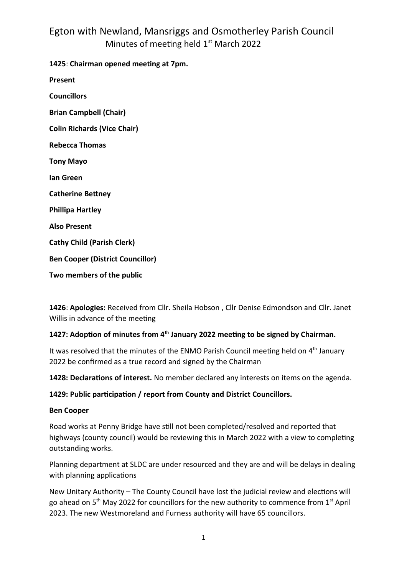**1425**: **Chairman opened meeting at 7pm.**

**Present**

**Councillors Brian Campbell (Chair) Colin Richards (Vice Chair) Rebecca Thomas Tony Mayo Ian Green Catherine Bettney Phillipa Hartley Also Present Cathy Child (Parish Clerk) Ben Cooper (District Councillor) Two members of the public**

**1426**: **Apologies:** Received from Cllr. Sheila Hobson , Cllr Denise Edmondson and Cllr. Janet Willis in advance of the meeting

## **1427: Adoption of minutes from 4th January 2022 meeting to be signed by Chairman.**

It was resolved that the minutes of the ENMO Parish Council meeting held on  $4<sup>th</sup>$  January 2022 be confirmed as a true record and signed by the Chairman

**1428: Declarations of interest.** No member declared any interests on items on the agenda.

#### **1429: Public participation / report from County and District Councillors.**

#### **Ben Cooper**

Road works at Penny Bridge have still not been completed/resolved and reported that highways (county council) would be reviewing this in March 2022 with a view to completing outstanding works.

Planning department at SLDC are under resourced and they are and will be delays in dealing with planning applications

New Unitary Authority – The County Council have lost the judicial review and elections will go ahead on  $5<sup>th</sup>$  May 2022 for councillors for the new authority to commence from  $1<sup>st</sup>$  April 2023. The new Westmoreland and Furness authority will have 65 councillors.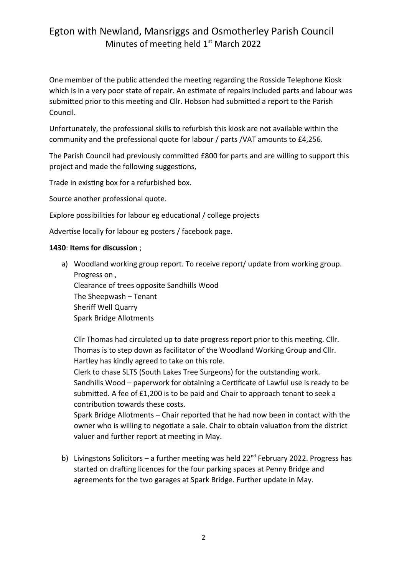One member of the public attended the meeting regarding the Rosside Telephone Kiosk which is in a very poor state of repair. An estimate of repairs included parts and labour was submitted prior to this meeting and Cllr. Hobson had submitted a report to the Parish Council.

Unfortunately, the professional skills to refurbish this kiosk are not available within the community and the professional quote for labour / parts /VAT amounts to £4,256.

The Parish Council had previously committed £800 for parts and are willing to support this project and made the following suggestions,

Trade in existing box for a refurbished box.

Source another professional quote.

Explore possibilities for labour eg educational / college projects

Advertise locally for labour eg posters / facebook page.

#### **1430**: **Items for discussion** ;

a) Woodland working group report. To receive report/ update from working group. Progress on , Clearance of trees opposite Sandhills Wood The Sheepwash – Tenant Sheriff Well Quarry Spark Bridge Allotments

Cllr Thomas had circulated up to date progress report prior to this meeting. Cllr. Thomas is to step down as facilitator of the Woodland Working Group and Cllr. Hartley has kindly agreed to take on this role.

Clerk to chase SLTS (South Lakes Tree Surgeons) for the outstanding work. Sandhills Wood – paperwork for obtaining a Certificate of Lawful use is ready to be submitted. A fee of £1,200 is to be paid and Chair to approach tenant to seek a contribution towards these costs.

Spark Bridge Allotments – Chair reported that he had now been in contact with the owner who is willing to negotiate a sale. Chair to obtain valuation from the district valuer and further report at meeting in May.

b) Livingstons Solicitors – a further meeting was held  $22^{nd}$  February 2022. Progress has started on drafting licences for the four parking spaces at Penny Bridge and agreements for the two garages at Spark Bridge. Further update in May.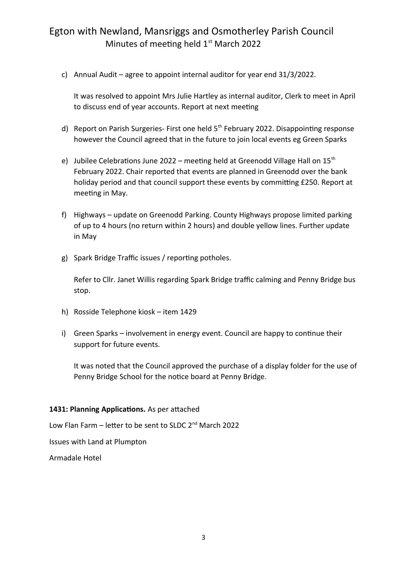c) Annual Audit – agree to appoint internal auditor for year end 31/3/2022.

It was resolved to appoint Mrs Julie Hartley as internal auditor, Clerk to meet in April to discuss end of year accounts. Report at next meeting

- d) Report on Parish Surgeries- First one held 5<sup>th</sup> February 2022. Disappointing response however the Council agreed that in the future to join local events eg Green Sparks
- e) Jubilee Celebrations June 2022 meeting held at Greenodd Village Hall on  $15<sup>th</sup>$ February 2022. Chair reported that events are planned in Greenodd over the bank holiday period and that council support these events by committing £250. Report at meeting in May.
- f) Highways update on Greenodd Parking. County Highways propose limited parking of up to 4 hours (no return within 2 hours) and double yellow lines. Further update in May
- g) Spark Bridge Traffic issues / reporting potholes.

Refer to Cllr. Janet Willis regarding Spark Bridge traffic calming and Penny Bridge bus stop.

- h) Rosside Telephone kiosk item 1429
- i) Green Sparks involvement in energy event. Council are happy to continue their support for future events.

It was noted that the Council approved the purchase of a display folder for the use of Penny Bridge School for the notice board at Penny Bridge.

#### **1431: Planning Applications.** As per attached

Low Flan Farm – letter to be sent to SLDC  $2^{nd}$  March 2022

Issues with Land at Plumpton

Armadale Hotel